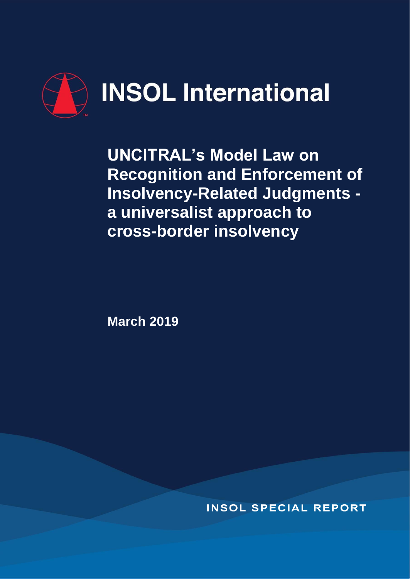

**UNCITRAL's Model Law on Recognition and Enforcement of Insolvency-Related Judgments a universalist approach to cross-border insolvency**

**March 2019**

**INSOL SPECIAL REPORT**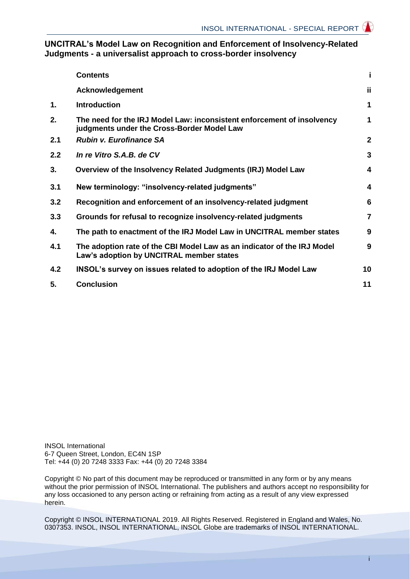## **UNCITRAL's Model Law on Recognition and Enforcement of Insolvency-Related Judgments - a universalist approach to cross-border insolvency**

|     | <b>Contents</b>                                                                                                      | i              |
|-----|----------------------------------------------------------------------------------------------------------------------|----------------|
|     | <b>Acknowledgement</b>                                                                                               | ii.            |
| 1.  | <b>Introduction</b>                                                                                                  | 1              |
| 2.  | The need for the IRJ Model Law: inconsistent enforcement of insolvency<br>judgments under the Cross-Border Model Law | 1              |
| 2.1 | <b>Rubin v. Eurofinance SA</b>                                                                                       | $\overline{2}$ |
| 2.2 | In re Vitro S.A.B. de CV                                                                                             | 3              |
| 3.  | Overview of the Insolvency Related Judgments (IRJ) Model Law                                                         | 4              |
| 3.1 | New terminology: "insolvency-related judgments"                                                                      | 4              |
| 3.2 | Recognition and enforcement of an insolvency-related judgment                                                        | 6              |
| 3.3 | Grounds for refusal to recognize insolvency-related judgments                                                        | $\overline{7}$ |
| 4.  | The path to enactment of the IRJ Model Law in UNCITRAL member states                                                 | 9              |
| 4.1 | The adoption rate of the CBI Model Law as an indicator of the IRJ Model<br>Law's adoption by UNCITRAL member states  | 9              |
| 4.2 | INSOL's survey on issues related to adoption of the IRJ Model Law                                                    | 10             |
| 5.  | <b>Conclusion</b>                                                                                                    | 11             |

INSOL International 6-7 Queen Street, London, EC4N 1SP Tel: +44 (0) 20 7248 3333 Fax: +44 (0) 20 7248 3384

Copyright © No part of this document may be reproduced or transmitted in any form or by any means without the prior permission of INSOL International. The publishers and authors accept no responsibility for any loss occasioned to any person acting or refraining from acting as a result of any view expressed herein.

Copyright © INSOL INTERNATIONAL 2019. All Rights Reserved. Registered in England and Wales, No. 0307353. INSOL, INSOL INTERNATIONAL, INSOL Globe are trademarks of INSOL INTERNATIONAL.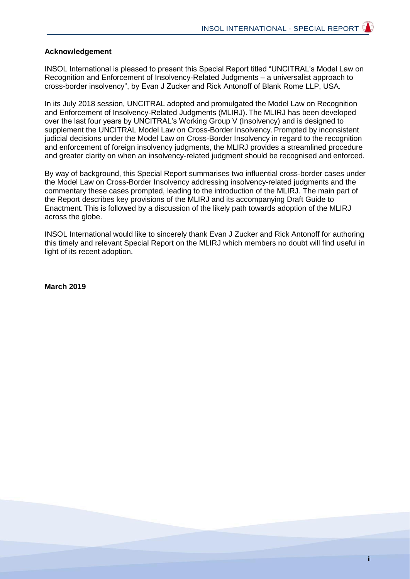#### **Acknowledgement**

INSOL International is pleased to present this Special Report titled "UNCITRAL's Model Law on Recognition and Enforcement of Insolvency-Related Judgments – a universalist approach to cross-border insolvency", by Evan J Zucker and Rick Antonoff of Blank Rome LLP, USA.

In its July 2018 session, UNCITRAL adopted and promulgated the Model Law on Recognition and Enforcement of Insolvency-Related Judgments (MLIRJ). The MLIRJ has been developed over the last four years by UNCITRAL's Working Group V (Insolvency) and is designed to supplement the UNCITRAL Model Law on Cross-Border Insolvency. Prompted by inconsistent judicial decisions under the Model Law on Cross-Border Insolvency in regard to the recognition and enforcement of foreign insolvency judgments, the MLIRJ provides a streamlined procedure and greater clarity on when an insolvency-related judgment should be recognised and enforced.

By way of background, this Special Report summarises two influential cross-border cases under the Model Law on Cross-Border Insolvency addressing insolvency-related judgments and the commentary these cases prompted, leading to the introduction of the MLIRJ. The main part of the Report describes key provisions of the MLIRJ and its accompanying Draft Guide to Enactment. This is followed by a discussion of the likely path towards adoption of the MLIRJ across the globe.

INSOL International would like to sincerely thank Evan J Zucker and Rick Antonoff for authoring this timely and relevant Special Report on the MLIRJ which members no doubt will find useful in light of its recent adoption.

**March 2019**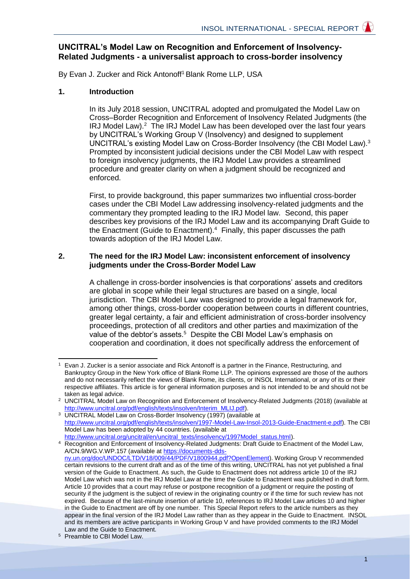# **UNCITRAL's Model Law on Recognition and Enforcement of Insolvency-Related Judgments - a universalist approach to cross-border insolvency**

By Evan J. Zucker and Rick Antonoff<sup>1</sup> Blank Rome LLP, USA

## **1. Introduction**

In its July 2018 session, UNCITRAL adopted and promulgated the Model Law on Cross–Border Recognition and Enforcement of Insolvency Related Judgments (the IRJ Model Law).<sup>2</sup> The IRJ Model Law has been developed over the last four years by UNCITRAL's Working Group V (Insolvency) and designed to supplement UNCITRAL's existing Model Law on Cross-Border Insolvency (the CBI Model Law).<sup>3</sup> Prompted by inconsistent judicial decisions under the CBI Model Law with respect to foreign insolvency judgments, the IRJ Model Law provides a streamlined procedure and greater clarity on when a judgment should be recognized and enforced.

First, to provide background, this paper summarizes two influential cross-border cases under the CBI Model Law addressing insolvency-related judgments and the commentary they prompted leading to the IRJ Model law. Second, this paper describes key provisions of the IRJ Model Law and its accompanying Draft Guide to the Enactment (Guide to Enactment).<sup>4</sup> Finally, this paper discusses the path towards adoption of the IRJ Model Law.

## **2. The need for the IRJ Model Law: inconsistent enforcement of insolvency judgments under the Cross-Border Model Law**

A challenge in cross-border insolvencies is that corporations' assets and creditors are global in scope while their legal structures are based on a single, local jurisdiction. The CBI Model Law was designed to provide a legal framework for, among other things, cross-border cooperation between courts in different countries, greater legal certainty, a fair and efficient administration of cross-border insolvency proceedings, protection of all creditors and other parties and maximization of the value of the debtor's assets.<sup>5</sup> Despite the CBI Model Law's emphasis on cooperation and coordination, it does not specifically address the enforcement of

 $\overline{a}$ <sup>1</sup> Evan J. Zucker is a senior associate and Rick Antonoff is a partner in the Finance, Restructuring, and Bankruptcy Group in the New York office of Blank Rome LLP. The opinions expressed are those of the authors and do not necessarily reflect the views of Blank Rome, its clients, or INSOL International, or any of its or their respective affiliates. This article is for general information purposes and is not intended to be and should not be taken as legal advice.

<sup>&</sup>lt;sup>2</sup> UNCITRAL Model Law on Recognition and Enforcement of Insolvency-Related Judgments (2018) (available at [http://www.uncitral.org/pdf/english/texts/insolven/Interim\\_MLIJ.pdf\)](http://www.uncitral.org/pdf/english/texts/insolven/Interim_MLIJ.pdf).

<sup>3</sup> UNCITRAL Model Law on Cross-Border Insolvency (1997) (available at [http://www.uncitral.org/pdf/english/texts/insolven/1997-Model-Law-Insol-2013-Guide-Enactment-e.pdf\)](http://www.uncitral.org/pdf/english/texts/insolven/1997-Model-Law-Insol-2013-Guide-Enactment-e.pdf). The CBI Model Law has been adopted by 44 countries. (available at [http://www.uncitral.org/uncitral/en/uncitral\\_texts/insolvency/1997Model\\_status.html\)](http://www.uncitral.org/uncitral/en/uncitral_texts/insolvency/1997Model_status.html).

<sup>&</sup>lt;sup>4</sup> [Recognition and Enforcement of Insolvency-Related Judgments: Draft Guide to Ena](http://www.uncitral.org/uncitral/en/uncitral_texts/insolvency/1997Model_status.html)ctment of the Model Law, A/CN.9/WG.V.WP.157 (available at https://documents-ddsny.un.org/doc/UNDOC/LTD/V18/00[9/44/PDF/V1800944.pdf?OpenElement\). Working Group V recommended](https://documents-dds-ny.un.org/doc/UNDOC/LTD/V18/009/44/PDF/V1800944.pdf?OpenElement) certain revisions to the current draft and as of the time of this writing, UNCITRAL has not yet published a final version of the Guide to Enactment. As such, the Guide to Enactment does not address article 10 of the IRJ Model Law which was not in the IRJ Model Law at the time the Guide to Enactment was published in draft form. Article 10 provides that a court may refuse or postpone recognition of a judgment or require the posting of security if the judgment is the subject of review in the originating country or if the time for such review has not expired. Because of the last-minute insertion of article 10, references to IRJ Model Law articles 10 and higher in the Guide to Enactment are off by one number. This Special Report refers to the article numbers as they appear in the final version of the IRJ Model Law rather than as they appear in the Guide to Enactment. INSOL and its members are active participants in Working Group V and have provided comments to the IRJ Model Law and the Guide to Enactment.

<sup>5</sup> Preamble to CBI Model Law.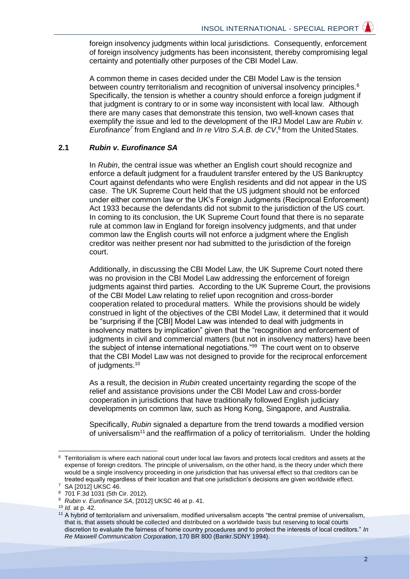foreign insolvency judgments within local jurisdictions. Consequently, enforcement of foreign insolvency judgments has been inconsistent, thereby compromising legal certainty and potentially other purposes of the CBI Model Law.

A common theme in cases decided under the CBI Model Law is the tension between country territorialism and recognition of universal insolvency principles.<sup>6</sup> Specifically, the tension is whether a country should enforce a foreign judgment if that judgment is contrary to or in some way inconsistent with local law. Although there are many cases that demonstrate this tension, two well-known cases that exemplify the issue and led to the development of the IRJ Model Law are *Rubin v.*  Eurofinance<sup>7</sup> from England and *In re Vitro S.A.B. de CV*,<sup>8</sup> from the United States.

## **2.1** *Rubin v. Eurofinance SA*

In *Rubin*, the central issue was whether an English court should recognize and enforce a default judgment for a fraudulent transfer entered by the US Bankruptcy Court against defendants who were English residents and did not appear in the US case. The UK Supreme Court held that the US judgment should not be enforced under either common law or the UK's Foreign Judgments (Reciprocal Enforcement) Act 1933 because the defendants did not submit to the jurisdiction of the US court. In coming to its conclusion, the UK Supreme Court found that there is no separate rule at common law in England for foreign insolvency judgments, and that under common law the English courts will not enforce a judgment where the English creditor was neither present nor had submitted to the jurisdiction of the foreign court.

Additionally, in discussing the CBI Model Law, the UK Supreme Court noted there was no provision in the CBI Model Law addressing the enforcement of foreign judgments against third parties. According to the UK Supreme Court, the provisions of the CBI Model Law relating to relief upon recognition and cross-border cooperation related to procedural matters. While the provisions should be widely construed in light of the objectives of the CBI Model Law, it determined that it would be "surprising if the [CBI] Model Law was intended to deal with judgments in insolvency matters by implication" given that the "recognition and enforcement of judgments in civil and commercial matters (but not in insolvency matters) have been the subject of intense international negotiations."<sup>99</sup> The court went on to observe that the CBI Model Law was not designed to provide for the reciprocal enforcement of judgments.<sup>10</sup>

As a result, the decision in *Rubin* created uncertainty regarding the scope of the relief and assistance provisions under the CBI Model Law and cross-border cooperation in jurisdictions that have traditionally followed English judiciary developments on common law, such as Hong Kong, Singapore, and Australia.

Specifically, *Rubin* signaled a departure from the trend towards a modified version of universalism<sup>11</sup> and the reaffirmation of a policy of territorialism. Under the holding

<sup>6</sup> Territorialism is where each national court under local law favors and protects local creditors and assets at the expense of foreign creditors. The principle of universalism, on the other hand, is the theory under which there would be a single insolvency proceeding in one jurisdiction that has universal effect so that creditors can be treated equally regardless of their location and that one jurisdiction's decisions are given worldwide effect.

<sup>7</sup> SA [2012] UKSC 46.

<sup>8</sup> 701 F.3d 1031 (5th Cir. 2012).

<sup>9</sup> *Rubin v. Eurofinance SA*, [2012] UKSC 46 at p. 41.

<sup>10</sup> *Id*. at p. 42.

<sup>11</sup> A hybrid of territorialism and universalism, modified universalism accepts "the central premise of universalism, that is, that assets should be collected and distributed on a worldwide basis but reserving to local courts discretion to evaluate the fairness of home country procedures and to protect the interests of local creditors." *In Re Maxwell Communication Corporation*, 170 BR 800 (Bankr.SDNY 1994).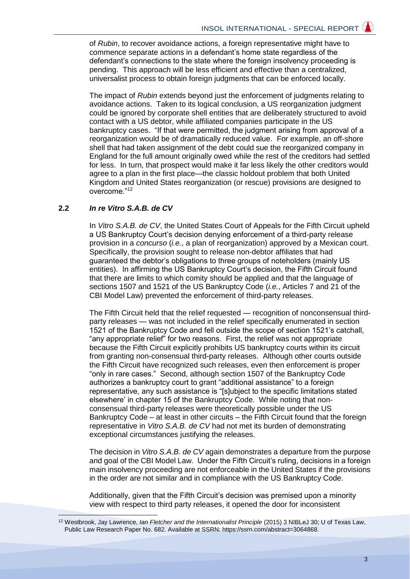of *Rubin*, to recover avoidance actions, a foreign representative might have to commence separate actions in a defendant's home state regardless of the defendant's connections to the state where the foreign insolvency proceeding is pending. This approach will be less efficient and effective than a centralized, universalist process to obtain foreign judgments that can be enforced locally.

The impact of *Rubin* extends beyond just the enforcement of judgments relating to avoidance actions. Taken to its logical conclusion, a US reorganization judgment could be ignored by corporate shell entities that are deliberately structured to avoid contact with a US debtor, while affiliated companies participate in the US bankruptcy cases. "If that were permitted, the judgment arising from approval of a reorganization would be of dramatically reduced value. For example, an off-shore shell that had taken assignment of the debt could sue the reorganized company in England for the full amount originally owed while the rest of the creditors had settled for less. In turn, that prospect would make it far less likely the other creditors would agree to a plan in the first place—the classic holdout problem that both United Kingdom and United States reorganization (or rescue) provisions are designed to overcome."<sup>12</sup>

## **2.2** *In re Vitro S.A.B. de CV*

 $\overline{a}$ 

In *Vitro S.A.B. de CV*, the United States Court of Appeals for the Fifth Circuit upheld a US Bankruptcy Court's decision denying enforcement of a third-party release provision in a *concurso* (*i.e.*, a plan of reorganization) approved by a Mexican court. Specifically, the provision sought to release non-debtor affiliates that had guaranteed the debtor's obligations to three groups of noteholders (mainly US entities). In affirming the US Bankruptcy Court's decision, the Fifth Circuit found that there are limits to which comity should be applied and that the language of sections 1507 and 1521 of the US Bankruptcy Code (*i.e.*, Articles 7 and 21 of the CBI Model Law) prevented the enforcement of third-party releases.

The Fifth Circuit held that the relief requested — recognition of nonconsensual thirdparty releases — was not included in the relief specifically enumerated in section 1521 of the Bankruptcy Code and fell outside the scope of section 1521's catchall, "any appropriate relief" for two reasons. First, the relief was not appropriate because the Fifth Circuit explicitly prohibits US bankruptcy courts within its circuit from granting non-consensual third-party releases. Although other courts outside the Fifth Circuit have recognized such releases, even then enforcement is proper "only in rare cases." Second, although section 1507 of the Bankruptcy Code authorizes a bankruptcy court to grant "additional assistance" to a foreign representative, any such assistance is "[s]ubject to the specific limitations stated elsewhere' in chapter 15 of the Bankruptcy Code. While noting that nonconsensual third-party releases were theoretically possible under the US Bankruptcy Code – at least in other circuits – the Fifth Circuit found that the foreign representative in *Vitro S.A.B. de CV* had not met its burden of demonstrating exceptional circumstances justifying the releases.

The decision in *Vitro S.A.B. de CV* again demonstrates a departure from the purpose and goal of the CBI Model Law. Under the Fifth Circuit's ruling, decisions in a foreign main insolvency proceeding are not enforceable in the United States if the provisions in the order are not similar and in compliance with the US Bankruptcy Code.

Additionally, given that the Fifth Circuit's decision was premised upon a minority view with respect to third party releases, it opened the door for inconsistent

<sup>&</sup>lt;sup>12</sup> Westbrook, Jay Lawrence, *Ian Fletcher and the Internationalist Principle* (2015) 3 NIBLeJ 30; U of Texas Law, Public Law Research Paper No. 682. Available at SSRN: https://ssrn.com/abstract=3064868.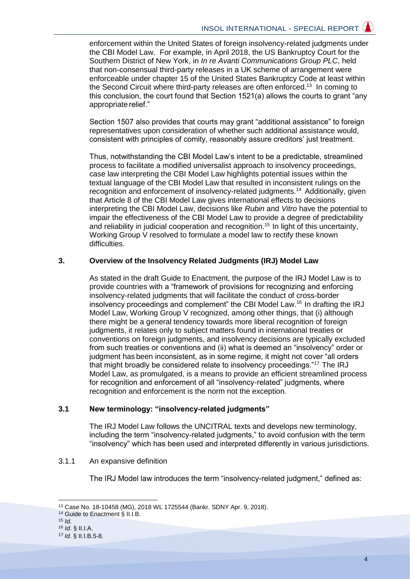enforcement within the United States of foreign insolvency-related judgments under the CBI Model Law. For example, in April 2018, the US Bankruptcy Court for the Southern District of New York, in *In re Avanti Communications Group PLC*, held that non-consensual third-party releases in a UK scheme of arrangement were enforceable under chapter 15 of the United States Bankruptcy Code at least within the Second Circuit where third-party releases are often enforced.<sup>13</sup> In coming to this conclusion, the court found that Section 1521(a) allows the courts to grant "any appropriate relief."

Section 1507 also provides that courts may grant "additional assistance" to foreign representatives upon consideration of whether such additional assistance would, consistent with principles of comity, reasonably assure creditors' just treatment.

Thus, notwithstanding the CBI Model Law's intent to be a predictable, streamlined process to facilitate a modified universalist approach to insolvency proceedings, case law interpreting the CBI Model Law highlights potential issues within the textual language of the CBI Model Law that resulted in inconsistent rulings on the recognition and enforcement of insolvency-related judgments.<sup>14</sup> Additionally, given that Article 8 of the CBI Model Law gives international effects to decisions interpreting the CBI Model Law, decisions like *Rubin* and *Vitro* have the potential to impair the effectiveness of the CBI Model Law to provide a degree of predictability and reliability in judicial cooperation and recognition.<sup>15</sup> In light of this uncertainty, Working Group V resolved to formulate a model law to rectify these known difficulties.

#### **3. Overview of the Insolvency Related Judgments (IRJ) Model Law**

As stated in the draft Guide to Enactment, the purpose of the IRJ Model Law is to provide countries with a "framework of provisions for recognizing and enforcing insolvency-related judgments that will facilitate the conduct of cross-border insolvency proceedings and complement" the CBI Model Law.<sup>16</sup> In drafting the IRJ Model Law, Working Group V recognized, among other things, that (i) although there might be a general tendency towards more liberal recognition of foreign judgments, it relates only to subject matters found in international treaties or conventions on foreign judgments, and insolvency decisions are typically excluded from such treaties or conventions and (ii) what is deemed an "insolvency" order or judgment has been inconsistent, as in some regime, it might not cover "all orders that might broadly be considered relate to insolvency proceedings."<sup>17</sup> The IRJ Model Law, as promulgated, is a means to provide an efficient streamlined process for recognition and enforcement of all "insolvency-related" judgments, where recognition and enforcement is the norm not the exception.

#### **3.1 New terminology: "insolvency-related judgments"**

The IRJ Model Law follows the UNCITRAL texts and develops new terminology, including the term "insolvency-related judgments," to avoid confusion with the term "insolvency" which has been used and interpreted differently in various jurisdictions.

#### 3.1.1 An expansive definition

The IRJ Model law introduces the term "insolvency-related judgment," defined as:

<sup>13</sup> Case No. 18-10458 (MG), 2018 WL 1725544 (Bankr. SDNY Apr. 9, 2018).

<sup>14</sup> Guide to Enactment § II.I.B.

<sup>15</sup> *Id*.

<sup>16</sup> *Id*. § II.I.A.

<sup>17</sup> *Id*. § II.I.B.5-8.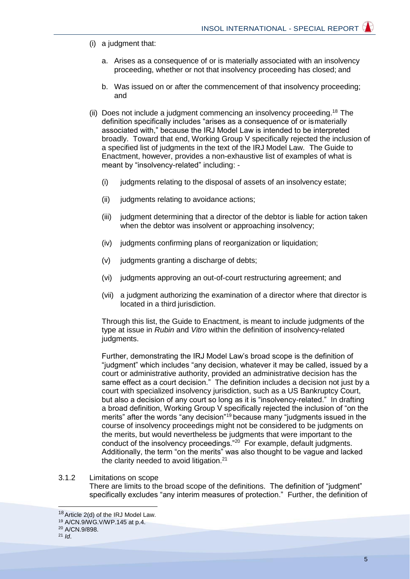- (i) a judgment that:
	- a. Arises as a consequence of or is materially associated with an insolvency proceeding, whether or not that insolvency proceeding has closed; and
	- b. Was issued on or after the commencement of that insolvency proceeding; and
- (ii) Does not include a judgment commencing an insolvency proceeding.<sup>18</sup> The definition specifically includes "arises as a consequence of or ismaterially associated with," because the IRJ Model Law is intended to be interpreted broadly. Toward that end, Working Group V specifically rejected the inclusion of a specified list of judgments in the text of the IRJ Model Law. The Guide to Enactment, however, provides a non-exhaustive list of examples of what is meant by "insolvency-related" including: -
	- (i) judgments relating to the disposal of assets of an insolvency estate;
	- (ii) judgments relating to avoidance actions;
	- (iii) judgment determining that a director of the debtor is liable for action taken when the debtor was insolvent or approaching insolvency;
	- (iv) judgments confirming plans of reorganization or liquidation;
	- (v) judgments granting a discharge of debts;
	- (vi) judgments approving an out-of-court restructuring agreement; and
	- (vii) a judgment authorizing the examination of a director where that director is located in a third jurisdiction.

Through this list, the Guide to Enactment, is meant to include judgments of the type at issue in *Rubin* and *Vitro* within the definition of insolvency-related judgments.

Further, demonstrating the IRJ Model Law's broad scope is the definition of "judgment" which includes "any decision, whatever it may be called, issued by a court or administrative authority, provided an administrative decision has the same effect as a court decision." The definition includes a decision not just by a court with specialized insolvency jurisdiction, such as a US Bankruptcy Court, but also a decision of any court so long as it is "insolvency-related." In drafting a broad definition, Working Group V specifically rejected the inclusion of "on the merits" after the words "any decision"<sup>19</sup> because many "judgments issued in the course of insolvency proceedings might not be considered to be judgments on the merits, but would nevertheless be judgments that were important to the conduct of the insolvency proceedings."<sup>20</sup> For example, default judgments. Additionally, the term "on the merits" was also thought to be vague and lacked the clarity needed to avoid litigation.<sup>21</sup>

## 3.1.2 Limitations on scope

There are limits to the broad scope of the definitions. The definition of "judgment" specifically excludes "any interim measures of protection." Further, the definition of

 $18$  Article 2(d) of the IRJ Model Law.

<sup>19</sup> A/CN.9/WG.V/WP.145 at p.4.

<sup>20</sup> A/CN.9/898.

<sup>21</sup> *Id*.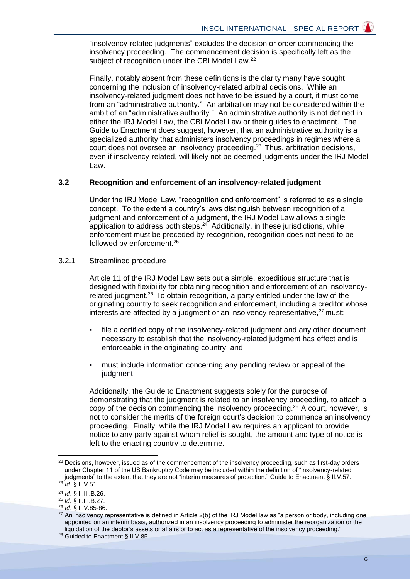"insolvency-related judgments" excludes the decision or order commencing the insolvency proceeding. The commencement decision is specifically left as the subject of recognition under the CBI Model Law.<sup>22</sup>

Finally, notably absent from these definitions is the clarity many have sought concerning the inclusion of insolvency-related arbitral decisions. While an insolvency-related judgment does not have to be issued by a court, it must come from an "administrative authority." An arbitration may not be considered within the ambit of an "administrative authority." An administrative authority is not defined in either the IRJ Model Law, the CBI Model Law or their guides to enactment. The Guide to Enactment does suggest, however, that an administrative authority is a specialized authority that administers insolvency proceedings in regimes where a court does not oversee an insolvency proceeding.<sup>23</sup> Thus, arbitration decisions, even if insolvency-related, will likely not be deemed judgments under the IRJ Model Law.

#### **3.2 Recognition and enforcement of an insolvency-related judgment**

Under the IRJ Model Law, "recognition and enforcement" is referred to as a single concept. To the extent a country's laws distinguish between recognition of a judgment and enforcement of a judgment, the IRJ Model Law allows a single application to address both steps.<sup>24</sup> Additionally, in these jurisdictions, while enforcement must be preceded by recognition, recognition does not need to be followed by enforcement.<sup>25</sup>

3.2.1 Streamlined procedure

Article 11 of the IRJ Model Law sets out a simple, expeditious structure that is designed with flexibility for obtaining recognition and enforcement of an insolvencyrelated judgment.<sup>26</sup> To obtain recognition, a party entitled under the law of the originating country to seek recognition and enforcement, including a creditor whose interests are affected by a judgment or an insolvency representative, $27$  must:

- file a certified copy of the insolvency-related judgment and any other document necessary to establish that the insolvency-related judgment has effect and is enforceable in the originating country; and
- must include information concerning any pending review or appeal of the judgment.

Additionally, the Guide to Enactment suggests solely for the purpose of demonstrating that the judgment is related to an insolvency proceeding, to attach a copy of the decision commencing the insolvency proceeding.<sup>28</sup> A court, however, is not to consider the merits of the foreign court's decision to commence an insolvency proceeding. Finally, while the IRJ Model Law requires an applicant to provide notice to any party against whom relief is sought, the amount and type of notice is left to the enacting country to determine.

<sup>&</sup>lt;sup>22</sup> Decisions, however, issued as of the commencement of the insolvency proceeding, such as first-day orders under Chapter 11 of the US Bankruptcy Code may be included within the definition of "insolvency-related judgments" to the extent that they are not "interim measures of protection." Guide to Enactment § II.V.57. <sup>23</sup> *Id*. § II.V.51.

<sup>24</sup> *Id*. § II.III.B.26.

<sup>25</sup> *Id*. § II.III.B.27. <sup>26</sup> *Id*. § II.V.85-86.

<sup>&</sup>lt;sup>27</sup> An insolvency representative is defined in Article 2(b) of the IRJ Model law as "a person or body, including one appointed on an interim basis, authorized in an insolvency proceeding to administer the reorganization or the liquidation of the debtor's assets or affairs or to act as a representative of the insolvency proceeding."

<sup>28</sup> Guided to Enactment § II.V.85.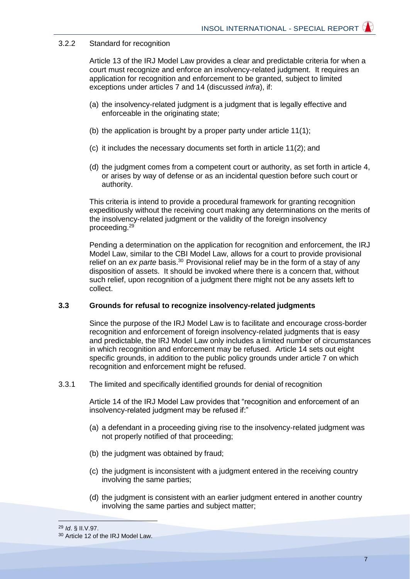## 3.2.2 Standard for recognition

Article 13 of the IRJ Model Law provides a clear and predictable criteria for when a court must recognize and enforce an insolvency-related judgment. It requires an application for recognition and enforcement to be granted, subject to limited exceptions under articles 7 and 14 (discussed *infra*), if:

- (a) the insolvency-related judgment is a judgment that is legally effective and enforceable in the originating state;
- (b) the application is brought by a proper party under article 11(1);
- (c) it includes the necessary documents set forth in article 11(2); and
- (d) the judgment comes from a competent court or authority, as set forth in article 4, or arises by way of defense or as an incidental question before such court or authority.

This criteria is intend to provide a procedural framework for granting recognition expeditiously without the receiving court making any determinations on the merits of the insolvency-related judgment or the validity of the foreign insolvency proceeding.<sup>29</sup>

Pending a determination on the application for recognition and enforcement, the IRJ Model Law, similar to the CBI Model Law, allows for a court to provide provisional relief on an *ex parte* basis.<sup>30</sup> Provisional relief may be in the form of a stay of any disposition of assets. It should be invoked where there is a concern that, without such relief, upon recognition of a judgment there might not be any assets left to collect.

## **3.3 Grounds for refusal to recognize insolvency-related judgments**

Since the purpose of the IRJ Model Law is to facilitate and encourage cross-border recognition and enforcement of foreign insolvency-related judgments that is easy and predictable, the IRJ Model Law only includes a limited number of circumstances in which recognition and enforcement may be refused. Article 14 sets out eight specific grounds, in addition to the public policy grounds under article 7 on which recognition and enforcement might be refused.

3.3.1 The limited and specifically identified grounds for denial of recognition

Article 14 of the IRJ Model Law provides that "recognition and enforcement of an insolvency-related judgment may be refused if:"

- (a) a defendant in a proceeding giving rise to the insolvency-related judgment was not properly notified of that proceeding;
- (b) the judgment was obtained by fraud;
- (c) the judgment is inconsistent with a judgment entered in the receiving country involving the same parties;
- (d) the judgment is consistent with an earlier judgment entered in another country involving the same parties and subject matter;

 <sup>29</sup> *Id*. § II.V.97.

<sup>30</sup> Article 12 of the IRJ Model Law.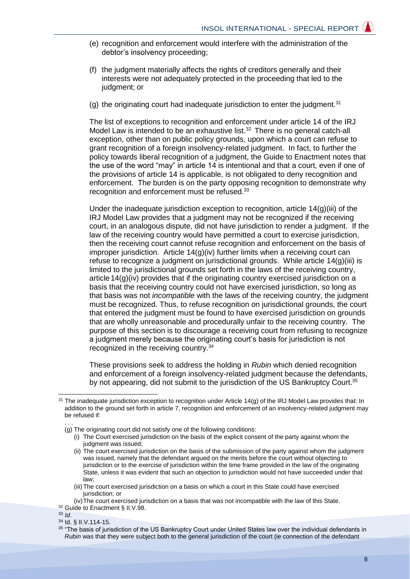- (e) recognition and enforcement would interfere with the administration of the debtor's insolvency proceeding;
- (f) the judgment materially affects the rights of creditors generally and their interests were not adequately protected in the proceeding that led to the judgment; or
- (g) the originating court had inadequate jurisdiction to enter the judgment.<sup>31</sup>

The list of exceptions to recognition and enforcement under article 14 of the IRJ Model Law is intended to be an exhaustive list.<sup>32</sup> There is no general catch-all exception, other than on public policy grounds, upon which a court can refuse to grant recognition of a foreign insolvency-related judgment. In fact, to further the policy towards liberal recognition of a judgment, the Guide to Enactment notes that the use of the word "may" in article 14 is intentional and that a court, even if one of the provisions of article 14 is applicable, is not obligated to deny recognition and enforcement. The burden is on the party opposing recognition to demonstrate why recognition and enforcement must be refused.<sup>33</sup>

Under the inadequate jurisdiction exception to recognition, article  $14(q)(iii)$  of the IRJ Model Law provides that a judgment may not be recognized if the receiving court, in an analogous dispute, did not have jurisdiction to render a judgment. If the law of the receiving country would have permitted a court to exercise jurisdiction, then the receiving court cannot refuse recognition and enforcement on the basis of improper jurisdiction. Article  $14(q)(iv)$  further limits when a receiving court can refuse to recognize a judgment on jurisdictional grounds. While article  $14(q)(iii)$  is limited to the jurisdictional grounds set forth in the laws of the receiving country, article 14(g)(iv) provides that if the originating country exercised jurisdiction on a basis that the receiving country could not have exercised jurisdiction, so long as that basis was not *incompatible* with the laws of the receiving country, the judgment must be recognized. Thus, to refuse recognition on jurisdictional grounds, the court that entered the judgment must be found to have exercised jurisdiction on grounds that are wholly unreasonable and procedurally unfair to the receiving country. The purpose of this section is to discourage a receiving court from refusing to recognize a judgment merely because the originating court's basis for jurisdiction is not recognized in the receiving country.<sup>34</sup>

These provisions seek to address the holding in *Rubin* which denied recognition and enforcement of a foreign insolvency-related judgment because the defendants, by not appearing, did not submit to the jurisdiction of the US Bankruptcy Court.<sup>35</sup>

<sup>32</sup> Guide to Enactment § II.V.98. <sup>33</sup> *Id*.

 $31$  The inadequate jurisdiction exception to recognition under Article 14(g) of the IRJ Model Law provides that: In addition to the ground set forth in article 7, recognition and enforcement of an insolvency-related judgment may be refused if: . . .

<sup>(</sup>g) The originating court did not satisfy one of the following conditions:

<sup>(</sup>i) The Court exercised jurisdiction on the basis of the explicit consent of the party against whom the judgment was issued;

<sup>(</sup>ii) The court exercised jurisdiction on the basis of the submission of the party against whom the judgment was issued, namely that the defendant argued on the merits before the court without objecting to jurisdiction or to the exercise of jurisdiction within the time frame provided in the law of the originating State, unless it was evident that such an objection to jurisdiction would not have succeeded under that law;

<sup>(</sup>iii)The court exercised jurisdiction on a basis on which a court in this State could have exercised jurisdiction; or

<sup>(</sup>iv)The court exercised jurisdiction on a basis that was not incompatible with the law of this State.

<sup>34</sup> Id. § II.V.114-15.

<sup>&</sup>lt;sup>35</sup> "The basis of jurisdiction of the US Bankruptcy Court under United States law over the individual defendants in *Rubin* was that they were subject both to the general jurisdiction of the court (ie connection of the defendant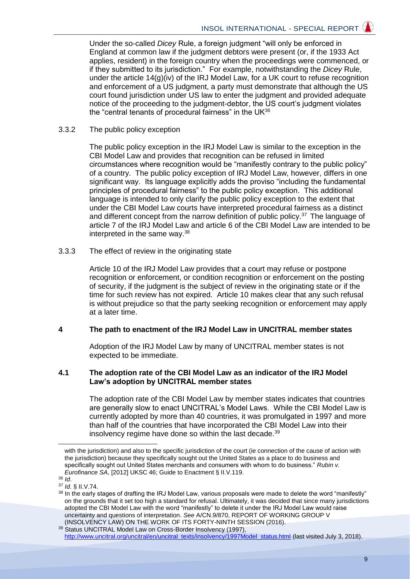Under the so-called *Dicey* Rule, a foreign judgment "will only be enforced in England at common law if the judgment debtors were present (or, if the 1933 Act applies, resident) in the foreign country when the proceedings were commenced, or if they submitted to its jurisdiction." For example, notwithstanding the *Dicey* Rule, under the article 14(g)(iv) of the IRJ Model Law, for a UK court to refuse recognition and enforcement of a US judgment, a party must demonstrate that although the US court found jurisdiction under US law to enter the judgment and provided adequate notice of the proceeding to the judgment-debtor, the US court's judgment violates the "central tenants of procedural fairness" in the UK<sup>36</sup>

3.3.2 The public policy exception

The public policy exception in the IRJ Model Law is similar to the exception in the CBI Model Law and provides that recognition can be refused in limited circumstances where recognition would be "manifestly contrary to the public policy" of a country. The public policy exception of IRJ Model Law, however, differs in one significant way. Its language explicitly adds the proviso "including the fundamental principles of procedural fairness" to the public policy exception. This additional language is intended to only clarify the public policy exception to the extent that under the CBI Model Law courts have interpreted procedural fairness as a distinct and different concept from the narrow definition of public policy. $37$  The language of article 7 of the IRJ Model Law and article 6 of the CBI Model Law are intended to be interpreted in the same way.<sup>38</sup>

3.3.3 The effect of review in the originating state

Article 10 of the IRJ Model Law provides that a court may refuse or postpone recognition or enforcement, or condition recognition or enforcement on the posting of security, if the judgment is the subject of review in the originating state or if the time for such review has not expired. Article 10 makes clear that any such refusal is without prejudice so that the party seeking recognition or enforcement may apply at a later time.

## **4 The path to enactment of the IRJ Model Law in UNCITRAL member states**

Adoption of the IRJ Model Law by many of UNCITRAL member states is not expected to be immediate.

#### **4.1 The adoption rate of the CBI Model Law as an indicator of the IRJ Model Law's adoption by UNCITRAL member states**

The adoption rate of the CBI Model Law by member states indicates that countries are generally slow to enact UNCITRAL's Model Laws. While the CBI Model Law is currently adopted by more than 40 countries, it was promulgated in 1997 and more than half of the countries that have incorporated the CBI Model Law into their insolvency regime have done so within the last decade.<sup>39</sup>

with the jurisdiction) and also to the specific jurisdiction of the court (ie connection of the cause of action with the jurisdiction) because they specifically sought out the United States as a place to do business and specifically sought out United States merchants and consumers with whom to do business." *Rubin v. Eurofinance SA*, [2012] UKSC 46; Guide to Enactment § II.V.119.

<sup>36</sup> *Id*.

<sup>37</sup> *Id*. § II.V.74.

<sup>38</sup> In the early stages of drafting the IRJ Model Law, various proposals were made to delete the word "manifestly" on the grounds that it set too high a standard for refusal. Ultimately, it was decided that since many jurisdictions adopted the CBI Model Law with the word "manifestly" to delete it under the IRJ Model Law would raise uncertainty and questions of interpretation. *See* A/CN.9/870, REPORT OF WORKING GROUP V (INSOLVENCY LAW) ON THE WORK OF ITS FORTY-NINTH SESSION (2016).

<sup>39</sup> Status UNCITRAL Model Law on Cross-Border Insolvency (1997), [http://www.uncitral.org/uncitral/en/uncitral\\_texts/insolvency/1997Model\\_status.html](http://www.uncitral.org/uncitral/en/uncitral_texts/insolvency/1997Model_status.html) (last visited July 3, 2018).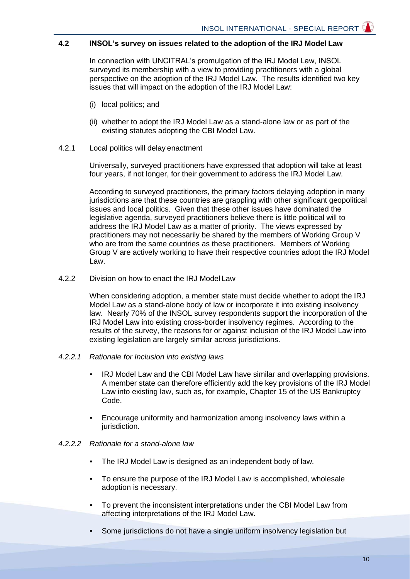## **4.2 INSOL's survey on issues related to the adoption of the IRJ Model Law**

In connection with UNCITRAL's promulgation of the IRJ Model Law, INSOL surveyed its membership with a view to providing practitioners with a global perspective on the adoption of the IRJ Model Law. The results identified two key issues that will impact on the adoption of the IRJ Model Law:

- (i) local politics; and
- (ii) whether to adopt the IRJ Model Law as a stand-alone law or as part of the existing statutes adopting the CBI Model Law.
- 4.2.1 Local politics will delay enactment

Universally, surveyed practitioners have expressed that adoption will take at least four years, if not longer, for their government to address the IRJ Model Law.

According to surveyed practitioners, the primary factors delaying adoption in many jurisdictions are that these countries are grappling with other significant geopolitical issues and local politics. Given that these other issues have dominated the legislative agenda, surveyed practitioners believe there is little political will to address the IRJ Model Law as a matter of priority. The views expressed by practitioners may not necessarily be shared by the members of Working Group V who are from the same countries as these practitioners. Members of Working Group V are actively working to have their respective countries adopt the IRJ Model Law.

4.2.2 Division on how to enact the IRJ Modell aw

When considering adoption, a member state must decide whether to adopt the IRJ Model Law as a stand-alone body of law or incorporate it into existing insolvency law. Nearly 70% of the INSOL survey respondents support the incorporation of the IRJ Model Law into existing cross-border insolvency regimes. According to the results of the survey, the reasons for or against inclusion of the IRJ Model Law into existing legislation are largely similar across jurisdictions.

#### *4.2.2.1 Rationale for Inclusion into existing laws*

- IRJ Model Law and the CBI Model Law have similar and overlapping provisions. A member state can therefore efficiently add the key provisions of the IRJ Model Law into existing law, such as, for example, Chapter 15 of the US Bankruptcy Code.
- Encourage uniformity and harmonization among insolvency laws within a jurisdiction.

#### *4.2.2.2 Rationale for a stand-alone law*

- The IRJ Model Law is designed as an independent body of law.
- To ensure the purpose of the IRJ Model Law is accomplished, wholesale adoption is necessary.
- To prevent the inconsistent interpretations under the CBI Model Law from affecting interpretations of the IRJ Model Law.
- Some jurisdictions do not have a single uniform insolvency legislation but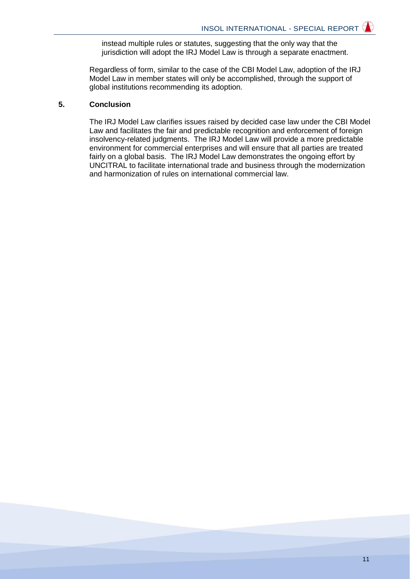instead multiple rules or statutes, suggesting that the only way that the jurisdiction will adopt the IRJ Model Law is through a separate enactment.

Regardless of form, similar to the case of the CBI Model Law, adoption of the IRJ Model Law in member states will only be accomplished, through the support of global institutions recommending its adoption.

#### **5. Conclusion**

The IRJ Model Law clarifies issues raised by decided case law under the CBI Model Law and facilitates the fair and predictable recognition and enforcement of foreign insolvency-related judgments. The IRJ Model Law will provide a more predictable environment for commercial enterprises and will ensure that all parties are treated fairly on a global basis. The IRJ Model Law demonstrates the ongoing effort by UNCITRAL to facilitate international trade and business through the modernization and harmonization of rules on international commercial law.